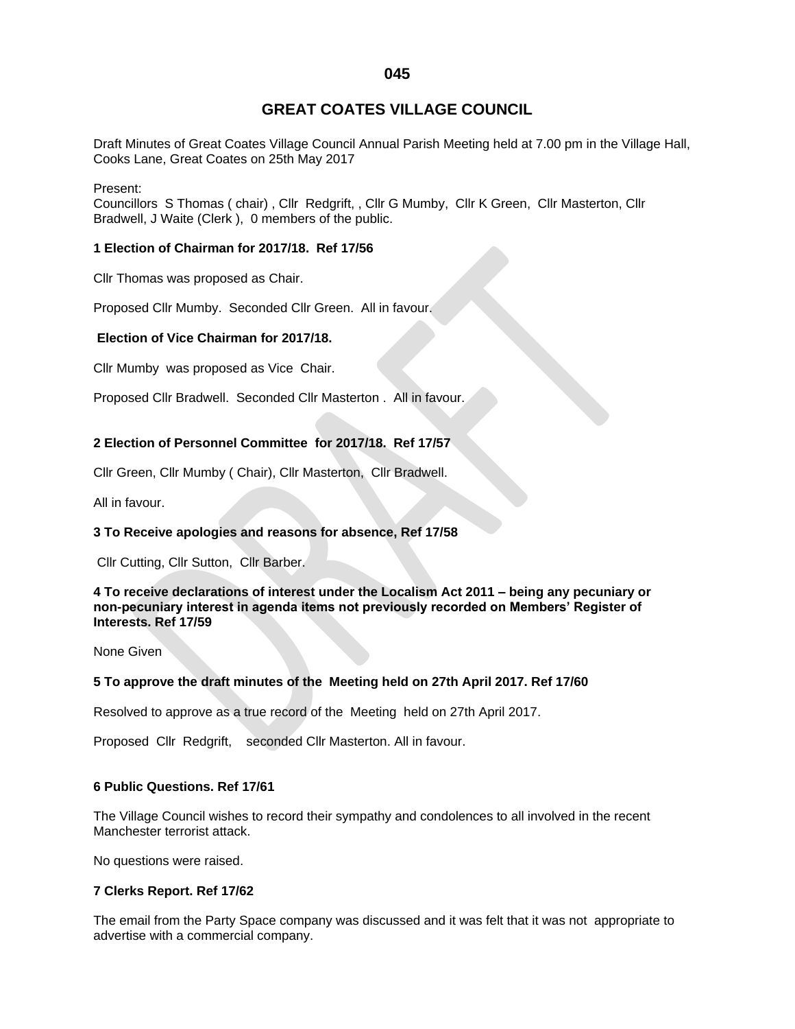# **GREAT COATES VILLAGE COUNCIL**

Draft Minutes of Great Coates Village Council Annual Parish Meeting held at 7.00 pm in the Village Hall, Cooks Lane, Great Coates on 25th May 2017

Present:

Councillors S Thomas ( chair) , Cllr Redgrift, , Cllr G Mumby, Cllr K Green, Cllr Masterton, Cllr Bradwell, J Waite (Clerk ), 0 members of the public.

## **1 Election of Chairman for 2017/18. Ref 17/56**

Cllr Thomas was proposed as Chair.

Proposed Cllr Mumby. Seconded Cllr Green. All in favour.

# **Election of Vice Chairman for 2017/18.**

Cllr Mumby was proposed as Vice Chair.

Proposed Cllr Bradwell. Seconded Cllr Masterton . All in favour.

# **2 Election of Personnel Committee for 2017/18. Ref 17/57**

Cllr Green, Cllr Mumby ( Chair), Cllr Masterton, Cllr Bradwell.

All in favour.

## **3 To Receive apologies and reasons for absence, Ref 17/58**

Cllr Cutting, Cllr Sutton, Cllr Barber.

**4 To receive declarations of interest under the Localism Act 2011 – being any pecuniary or non-pecuniary interest in agenda items not previously recorded on Members' Register of Interests. Ref 17/59**

None Given

## **5 To approve the draft minutes of the Meeting held on 27th April 2017. Ref 17/60**

Resolved to approve as a true record of the Meeting held on 27th April 2017.

Proposed Cllr Redgrift, seconded Cllr Masterton. All in favour.

## **6 Public Questions. Ref 17/61**

The Village Council wishes to record their sympathy and condolences to all involved in the recent Manchester terrorist attack.

No questions were raised.

## **7 Clerks Report. Ref 17/62**

The email from the Party Space company was discussed and it was felt that it was not appropriate to advertise with a commercial company.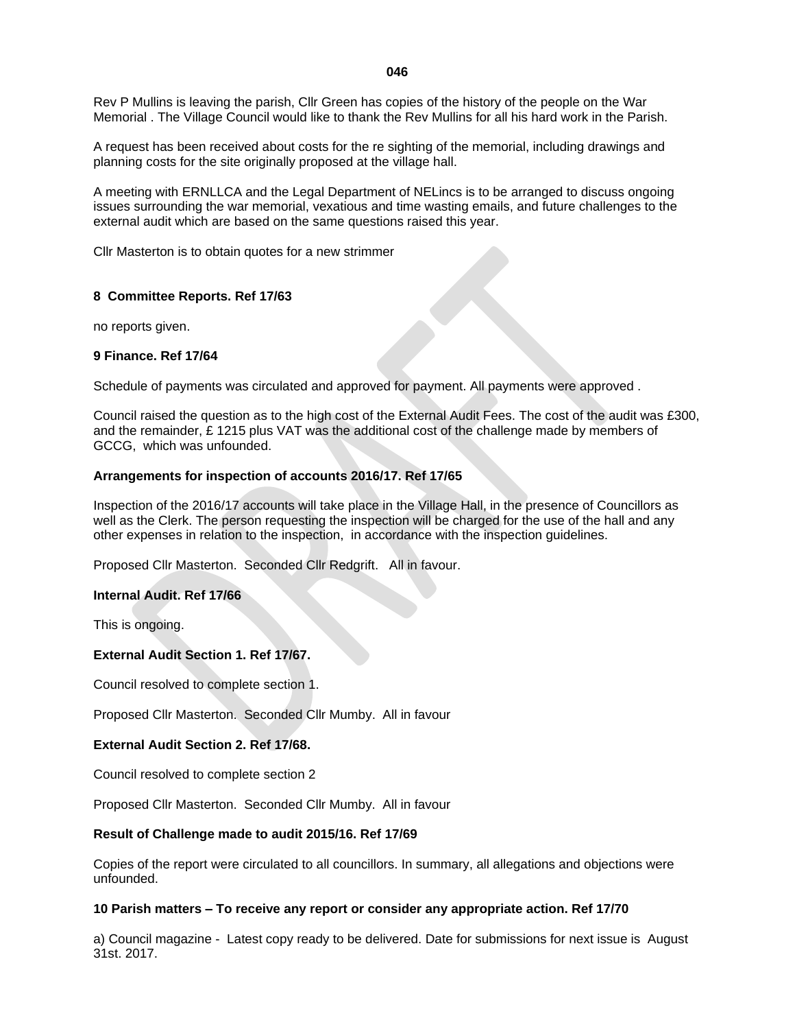Rev P Mullins is leaving the parish, Cllr Green has copies of the history of the people on the War Memorial . The Village Council would like to thank the Rev Mullins for all his hard work in the Parish.

A request has been received about costs for the re sighting of the memorial, including drawings and planning costs for the site originally proposed at the village hall.

A meeting with ERNLLCA and the Legal Department of NELincs is to be arranged to discuss ongoing issues surrounding the war memorial, vexatious and time wasting emails, and future challenges to the external audit which are based on the same questions raised this year.

Cllr Masterton is to obtain quotes for a new strimmer

## **8 Committee Reports. Ref 17/63**

no reports given.

#### **9 Finance. Ref 17/64**

Schedule of payments was circulated and approved for payment. All payments were approved .

Council raised the question as to the high cost of the External Audit Fees. The cost of the audit was £300, and the remainder,  $E$  1215 plus VAT was the additional cost of the challenge made by members of GCCG, which was unfounded.

## **Arrangements for inspection of accounts 2016/17. Ref 17/65**

Inspection of the 2016/17 accounts will take place in the Village Hall, in the presence of Councillors as well as the Clerk. The person requesting the inspection will be charged for the use of the hall and any other expenses in relation to the inspection, in accordance with the inspection guidelines.

Proposed Cllr Masterton. Seconded Cllr Redgrift. All in favour.

## **Internal Audit. Ref 17/66**

This is ongoing.

## **External Audit Section 1. Ref 17/67.**

Council resolved to complete section 1.

Proposed Cllr Masterton. Seconded Cllr Mumby. All in favour

#### **External Audit Section 2. Ref 17/68.**

Council resolved to complete section 2

Proposed Cllr Masterton. Seconded Cllr Mumby. All in favour

#### **Result of Challenge made to audit 2015/16. Ref 17/69**

Copies of the report were circulated to all councillors. In summary, all allegations and objections were unfounded.

#### **10 Parish matters – To receive any report or consider any appropriate action. Ref 17/70**

a) Council magazine - Latest copy ready to be delivered. Date for submissions for next issue is August 31st. 2017.